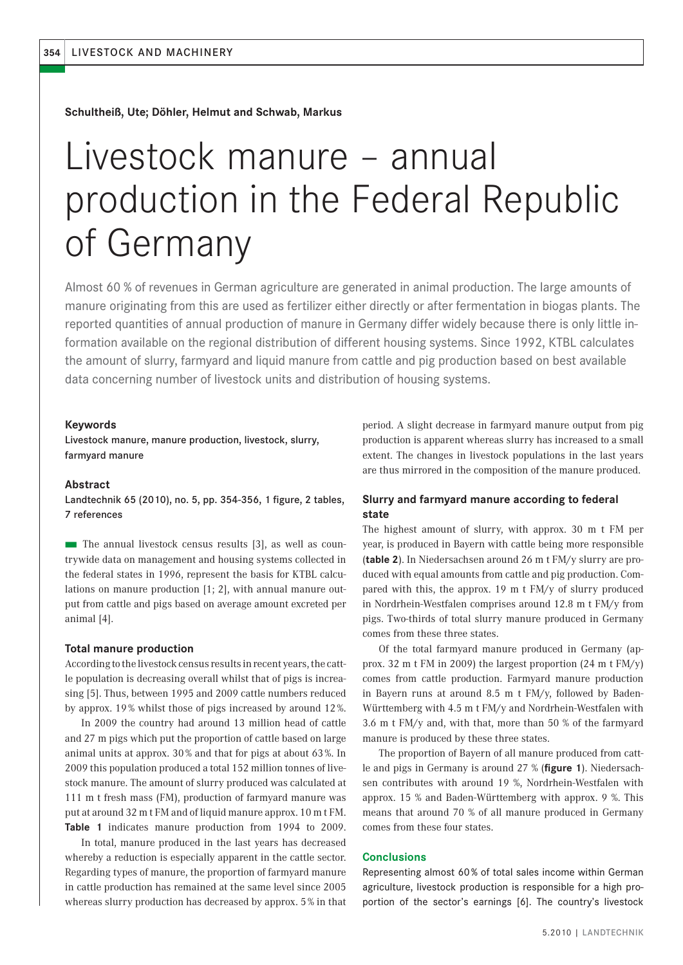**Schultheiß, Ute; Döhler, Helmut and Schwab, Markus**

# Livestock manure – annual production in the Federal Republic of Germany

Almost 60 % of revenues in German agriculture are generated in animal production. The large amounts of manure originating from this are used as fertilizer either directly or after fermentation in biogas plants. The reported quantities of annual production of manure in Germany differ widely because there is only little information available on the regional distribution of different housing systems. Since 1992, KTBL calculates the amount of slurry, farmyard and liquid manure from cattle and pig production based on best available data concerning number of livestock units and distribution of housing systems.

### **Keywords**

Livestock manure, manure production, livestock, slurry, farmyard manure

### **Abstract**

Landtechnik 65 (2010), no. 5, pp. 354-356, 1 figure, 2 tables, 7 references

■ The annual livestock census results [3], as well as countrywide data on management and housing systems collected in the federal states in 1996, represent the basis for KTBL calculations on manure production [1; 2], with annual manure output from cattle and pigs based on average amount excreted per animal [4].

#### **Total manure production**

According to the livestock census results in recent years, the cattle population is decreasing overall whilst that of pigs is increasing [5]. Thus, between 1995 and 2009 cattle numbers reduced by approx. 19 % whilst those of pigs increased by around 12 %.

In 2009 the country had around 13 million head of cattle and 27 m pigs which put the proportion of cattle based on large animal units at approx. 30 % and that for pigs at about 63 %. In 2009 this population produced a total 152 million tonnes of livestock manure. The amount of slurry produced was calculated at 111 m t fresh mass (FM), production of farmyard manure was put at around 32 m t FM and of liquid manure approx. 10 m t FM. **Table 1** indicates manure production from 1994 to 2009.

In total, manure produced in the last years has decreased whereby a reduction is especially apparent in the cattle sector. Regarding types of manure, the proportion of farmyard manure in cattle production has remained at the same level since 2005 whereas slurry production has decreased by approx. 5 % in that

period. A slight decrease in farmyard manure output from pig production is apparent whereas slurry has increased to a small extent. The changes in livestock populations in the last years are thus mirrored in the composition of the manure produced.

## **Slurry and farmyard manure according to federal state**

The highest amount of slurry, with approx. 30 m t FM per year, is produced in Bayern with cattle being more responsible (**table 2**). In Niedersachsen around 26 m t FM/y slurry are produced with equal amounts from cattle and pig production. Compared with this, the approx. 19 m t FM/y of slurry produced in Nordrhein-Westfalen comprises around 12.8 m t FM/y from pigs. Two-thirds of total slurry manure produced in Germany comes from these three states.

Of the total farmyard manure produced in Germany (approx. 32 m t FM in 2009) the largest proportion (24 m t FM/y) comes from cattle production. Farmyard manure production in Bayern runs at around 8.5 m t FM/y, followed by Baden-Württemberg with 4.5 m t FM/y and Nordrhein-Westfalen with 3.6 m t FM/y and, with that, more than 50 % of the farmyard manure is produced by these three states.

The proportion of Bayern of all manure produced from cattle and pigs in Germany is around 27 % (**figure 1**). Niedersachsen contributes with around 19 %, Nordrhein-Westfalen with approx. 15 % and Baden-Württemberg with approx. 9 %. This means that around 70 % of all manure produced in Germany comes from these four states.

## **Conclusions**

Representing almost 60 % of total sales income within German agriculture, livestock production is responsible for a high proportion of the sector's earnings [6]. The country's livestock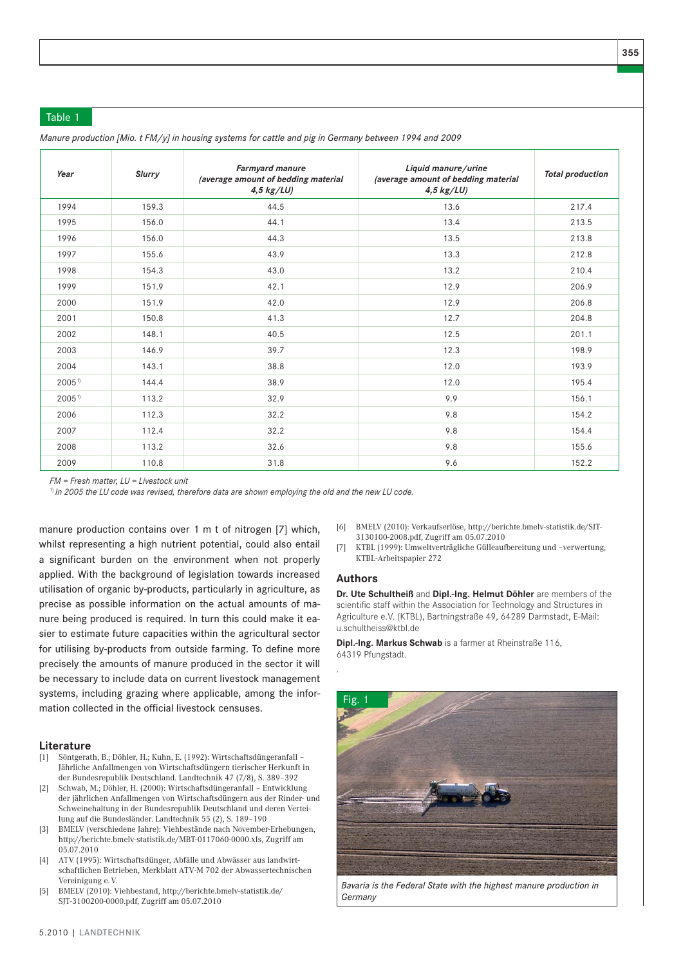## Table 1

| Year       | <b>Slurry</b> | Farmyard manure<br>(average amount of bedding material<br>$4,5$ kg/LU) | Liquid manure/urine<br>(average amount of bedding material<br>$4,5$ kg/LU) | <b>Total production</b> |  |
|------------|---------------|------------------------------------------------------------------------|----------------------------------------------------------------------------|-------------------------|--|
| 1994       | 159.3         | 44.5                                                                   | 13.6                                                                       | 217.4                   |  |
| 1995       | 156.0         | 44.1                                                                   | 13.4                                                                       | 213.5                   |  |
| 1996       | 156.0         | 44.3                                                                   | 13.5                                                                       | 213.8                   |  |
| 1997       | 155.6         | 43.9                                                                   | 13.3                                                                       | 212.8                   |  |
| 1998       | 154.3         | 43.0                                                                   | 13.2                                                                       | 210.4                   |  |
| 1999       | 151.9         | 42.1                                                                   | 12.9                                                                       | 206.9                   |  |
| 2000       | 151.9         | 42.0                                                                   | 12.9                                                                       | 206.8                   |  |
| 2001       | 150.8         | 41.3                                                                   | 12.7                                                                       | 204.8                   |  |
| 2002       | 148.1         | 40.5                                                                   | 12.5                                                                       | 201.1                   |  |
| 2003       | 146.9         | 39.7                                                                   | 12.3                                                                       | 198.9                   |  |
| 2004       | 143.1         | 38.8                                                                   | 12.0                                                                       | 193.9                   |  |
| $2005^{1}$ | 144.4         | 38.9                                                                   | 12.0                                                                       | 195.4                   |  |
| $2005^{1}$ | 113.2         | 32.9                                                                   | 9.9                                                                        | 156.1                   |  |
| 2006       | 112.3         | 32.2                                                                   | 9.8                                                                        | 154.2                   |  |
| 2007       | 112.4         | 32.2                                                                   | 9.8                                                                        | 154.4                   |  |
| 2008       | 113.2         | 32.6                                                                   | 9.8                                                                        | 155.6                   |  |
| 2009       | 110.8         | 31.8                                                                   | 9.6                                                                        | 152.2                   |  |

*Manure production [Mio. t FM/y] in housing systems for cattle and pig in Germany between 1994 and 2009*

*FM = Fresh matter, LU = Livestock unit*

1) *In 2005 the LU code was revised, therefore data are shown employing the old and the new LU code.*

manure production contains over 1 m t of nitrogen [7] which, whilst representing a high nutrient potential, could also entail a significant burden on the environment when not properly applied. With the background of legislation towards increased utilisation of organic by-products, particularly in agriculture, as precise as possible information on the actual amounts of manure being produced is required. In turn this could make it easier to estimate future capacities within the agricultural sector for utilising by-products from outside farming. To define more precisely the amounts of manure produced in the sector it will be necessary to include data on current livestock management systems, including grazing where applicable, among the information collected in the official livestock censuses.

## **Literature**

- [1] Söntgerath, B.; Döhler, H.; Kuhn, E. (1992): Wirtschaftsdüngeranfall Jährliche Anfallmengen von Wirtschaftsdüngern tierischer Herkunft in der Bundesrepublik Deutschland. Landtechnik 47 (7/8), S. 389–392
- [2] Schwab, M.; Döhler, H. (2000): Wirtschaftsdüngeranfall Entwicklung der jährlichen Anfallmengen von Wirtschaftsdüngern aus der Rinder- und Schweinehaltung in der Bundesrepublik Deutschland und deren Verteilung auf die Bundesländer. Landtechnik 55 (2), S. 189–190
- [3] BMELV (verschiedene Jahre): Viehbestände nach November-Erhebungen, http://berichte.bmelv-statistik.de/MBT-0117060-0000.xls, Zugriff am 05.07.2010
- [4] ATV (1995): Wirtschaftsdünger, Abfälle und Abwässer aus landwirtschaftlichen Betrieben, Merkblatt ATV-M 702 der Abwassertechnischen Vereinigung e. V.
- [5] BMELV (2010): Viehbestand, http://berichte.bmelv-statistik.de/ SJT-3100200-0000.pdf, Zugriff am 05.07.2010
- [6] BMELV (2010): Verkaufserlöse, http://berichte.bmelv-statistik.de/SJT-3130100-2008.pdf, Zugriff am 05.07.2010
- [7] KTBL (1999): Umweltverträgliche Gülleaufbereitung und –verwertung, KTBL-Arbeitspapier 272

#### **Authors**

.

**Dr. Ute Schultheiß** and **Dipl.-Ing. Helmut Döhler** are members of the scientific staff within the Association for Technology and Structures in Agriculture e.V. (KTBL), Bartningstraße 49, 64289 Darmstadt, E-Mail: u.schultheiss@ktbl.de

**Dipl.-Ing. Markus Schwab** is a farmer at Rheinstraße 116, 64319 Pfungstadt.



*Bavaria is the Federal State with the highest manure production in Germany*